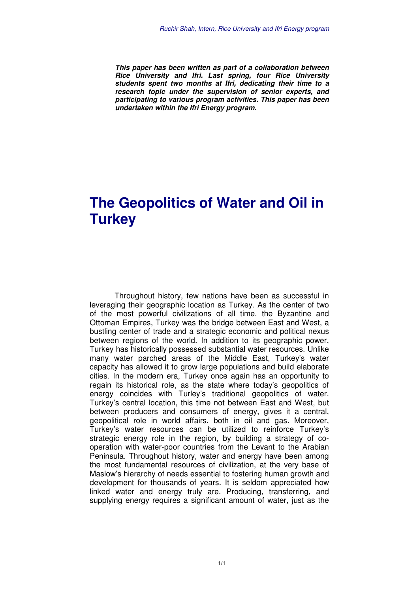**This paper has been written as part of a collaboration between Rice University and Ifri. Last spring, four Rice University students spent two months at Ifri, dedicating their time to a research topic under the supervision of senior experts, and participating to various program activities. This paper has been undertaken within the Ifri Energy program.**

## **The Geopolitics of Water and Oil in Turkey**

Throughout history, few nations have been as successful in leveraging their geographic location as Turkey. As the center of two of the most powerful civilizations of all time, the Byzantine and Ottoman Empires, Turkey was the bridge between East and West, a bustling center of trade and a strategic economic and political nexus between regions of the world. In addition to its geographic power, Turkey has historically possessed substantial water resources. Unlike many water parched areas of the Middle East, Turkey's water capacity has allowed it to grow large populations and build elaborate cities. In the modern era, Turkey once again has an opportunity to regain its historical role, as the state where today's geopolitics of energy coincides with Turley's traditional geopolitics of water. Turkey's central location, this time not between East and West, but between producers and consumers of energy, gives it a central, geopolitical role in world affairs, both in oil and gas. Moreover, Turkey's water resources can be utilized to reinforce Turkey's strategic energy role in the region, by building a strategy of cooperation with water-poor countries from the Levant to the Arabian Peninsula. Throughout history, water and energy have been among the most fundamental resources of civilization, at the very base of Maslow's hierarchy of needs essential to fostering human growth and development for thousands of years. It is seldom appreciated how linked water and energy truly are. Producing, transferring, and supplying energy requires a significant amount of water, just as the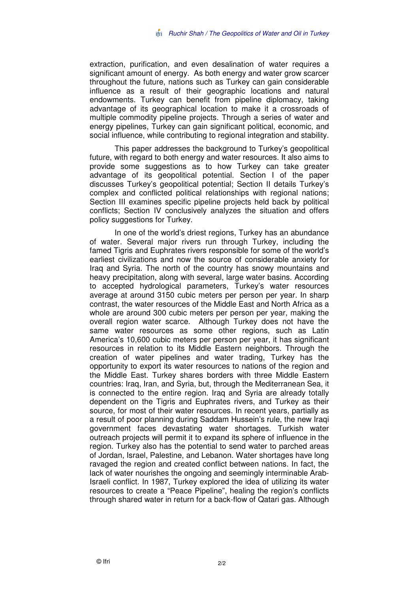extraction, purification, and even desalination of water requires a significant amount of energy. As both energy and water grow scarcer throughout the future, nations such as Turkey can gain considerable influence as a result of their geographic locations and natural endowments. Turkey can benefit from pipeline diplomacy, taking advantage of its geographical location to make it a crossroads of multiple commodity pipeline projects. Through a series of water and energy pipelines, Turkey can gain significant political, economic, and social influence, while contributing to regional integration and stability.

This paper addresses the background to Turkey's geopolitical future, with regard to both energy and water resources. It also aims to provide some suggestions as to how Turkey can take greater advantage of its geopolitical potential. Section I of the paper discusses Turkey's geopolitical potential; Section II details Turkey's complex and conflicted political relationships with regional nations; Section III examines specific pipeline projects held back by political conflicts; Section IV conclusively analyzes the situation and offers policy suggestions for Turkey.

In one of the world's driest regions, Turkey has an abundance of water. Several major rivers run through Turkey, including the famed Tigris and Euphrates rivers responsible for some of the world's earliest civilizations and now the source of considerable anxiety for Iraq and Syria. The north of the country has snowy mountains and heavy precipitation, along with several, large water basins. According to accepted hydrological parameters, Turkey's water resources average at around 3150 cubic meters per person per year. In sharp contrast, the water resources of the Middle East and North Africa as a whole are around 300 cubic meters per person per year, making the overall region water scarce. Although Turkey does not have the same water resources as some other regions, such as Latin America's 10,600 cubic meters per person per year, it has significant resources in relation to its Middle Eastern neighbors. Through the creation of water pipelines and water trading, Turkey has the opportunity to export its water resources to nations of the region and the Middle East. Turkey shares borders with three Middle Eastern countries: Iraq, Iran, and Syria, but, through the Mediterranean Sea, it is connected to the entire region. Iraq and Syria are already totally dependent on the Tigris and Euphrates rivers, and Turkey as their source, for most of their water resources. In recent years, partially as a result of poor planning during Saddam Hussein's rule, the new Iraqi government faces devastating water shortages. Turkish water outreach projects will permit it to expand its sphere of influence in the region. Turkey also has the potential to send water to parched areas of Jordan, Israel, Palestine, and Lebanon. Water shortages have long ravaged the region and created conflict between nations. In fact, the lack of water nourishes the ongoing and seemingly interminable Arab-Israeli conflict. In 1987, Turkey explored the idea of utilizing its water resources to create a "Peace Pipeline", healing the region's conflicts through shared water in return for a back-flow of Qatari gas. Although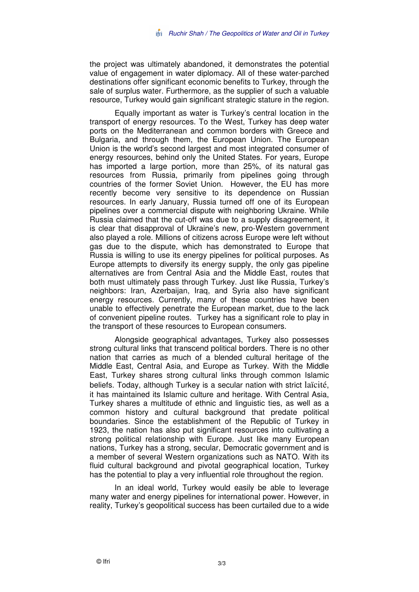the project was ultimately abandoned, it demonstrates the potential value of engagement in water diplomacy. All of these water-parched destinations offer significant economic benefits to Turkey, through the sale of surplus water. Furthermore, as the supplier of such a valuable resource, Turkey would gain significant strategic stature in the region.

Equally important as water is Turkey's central location in the transport of energy resources. To the West, Turkey has deep water ports on the Mediterranean and common borders with Greece and Bulgaria, and through them, the European Union. The European Union is the world's second largest and most integrated consumer of energy resources, behind only the United States. For years, Europe has imported a large portion, more than 25%, of its natural gas resources from Russia, primarily from pipelines going through countries of the former Soviet Union. However, the EU has more recently become very sensitive to its dependence on Russian resources. In early January, Russia turned off one of its European pipelines over a commercial dispute with neighboring Ukraine. While Russia claimed that the cut-off was due to a supply disagreement, it is clear that disapproval of Ukraine's new, pro-Western government also played a role. Millions of citizens across Europe were left without gas due to the dispute, which has demonstrated to Europe that Russia is willing to use its energy pipelines for political purposes. As Europe attempts to diversify its energy supply, the only gas pipeline alternatives are from Central Asia and the Middle East, routes that both must ultimately pass through Turkey. Just like Russia, Turkey's neighbors: Iran, Azerbaijan, Iraq, and Syria also have significant energy resources. Currently, many of these countries have been unable to effectively penetrate the European market, due to the lack of convenient pipeline routes. Turkey has a significant role to play in the transport of these resources to European consumers.

Alongside geographical advantages, Turkey also possesses strong cultural links that transcend political borders. There is no other nation that carries as much of a blended cultural heritage of the Middle East, Central Asia, and Europe as Turkey. With the Middle East, Turkey shares strong cultural links through common Islamic beliefs. Today, although Turkey is a secular nation with strict laïcité, it has maintained its Islamic culture and heritage. With Central Asia, Turkey shares a multitude of ethnic and linguistic ties, as well as a common history and cultural background that predate political boundaries. Since the establishment of the Republic of Turkey in 1923, the nation has also put significant resources into cultivating a strong political relationship with Europe. Just like many European nations, Turkey has a strong, secular, Democratic government and is a member of several Western organizations such as NATO. With its fluid cultural background and pivotal geographical location, Turkey has the potential to play a very influential role throughout the region.

In an ideal world, Turkey would easily be able to leverage many water and energy pipelines for international power. However, in reality, Turkey's geopolitical success has been curtailed due to a wide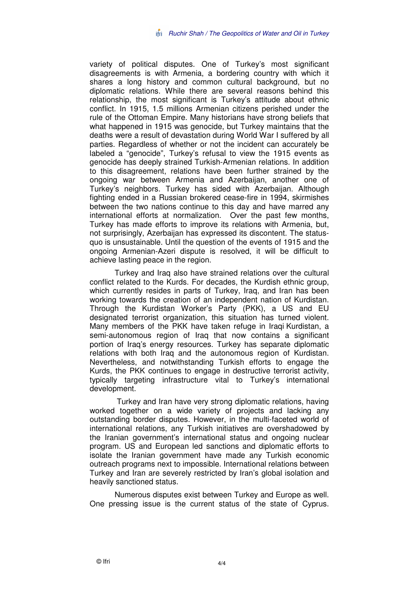variety of political disputes. One of Turkey's most significant disagreements is with Armenia, a bordering country with which it shares a long history and common cultural background, but no diplomatic relations. While there are several reasons behind this relationship, the most significant is Turkey's attitude about ethnic conflict. In 1915, 1.5 millions Armenian citizens perished under the rule of the Ottoman Empire. Many historians have strong beliefs that what happened in 1915 was genocide, but Turkey maintains that the deaths were a result of devastation during World War I suffered by all parties. Regardless of whether or not the incident can accurately be labeled a "genocide", Turkey's refusal to view the 1915 events as genocide has deeply strained Turkish-Armenian relations. In addition to this disagreement, relations have been further strained by the ongoing war between Armenia and Azerbaijan, another one of Turkey's neighbors. Turkey has sided with Azerbaijan. Although fighting ended in a Russian brokered cease-fire in 1994, skirmishes between the two nations continue to this day and have marred any international efforts at normalization. Over the past few months, Turkey has made efforts to improve its relations with Armenia, but, not surprisingly, Azerbaijan has expressed its discontent. The statusquo is unsustainable. Until the question of the events of 1915 and the ongoing Armenian-Azeri dispute is resolved, it will be difficult to achieve lasting peace in the region.

Turkey and Iraq also have strained relations over the cultural conflict related to the Kurds. For decades, the Kurdish ethnic group, which currently resides in parts of Turkey, Iraq, and Iran has been working towards the creation of an independent nation of Kurdistan. Through the Kurdistan Worker's Party (PKK), a US and EU designated terrorist organization, this situation has turned violent. Many members of the PKK have taken refuge in Iraqi Kurdistan, a semi-autonomous region of Iraq that now contains a significant portion of Iraq's energy resources. Turkey has separate diplomatic relations with both Iraq and the autonomous region of Kurdistan. Nevertheless, and notwithstanding Turkish efforts to engage the Kurds, the PKK continues to engage in destructive terrorist activity, typically targeting infrastructure vital to Turkey's international development.

 Turkey and Iran have very strong diplomatic relations, having worked together on a wide variety of projects and lacking any outstanding border disputes. However, in the multi-faceted world of international relations, any Turkish initiatives are overshadowed by the Iranian government's international status and ongoing nuclear program. US and European led sanctions and diplomatic efforts to isolate the Iranian government have made any Turkish economic outreach programs next to impossible. International relations between Turkey and Iran are severely restricted by Iran's global isolation and heavily sanctioned status.

Numerous disputes exist between Turkey and Europe as well. One pressing issue is the current status of the state of Cyprus.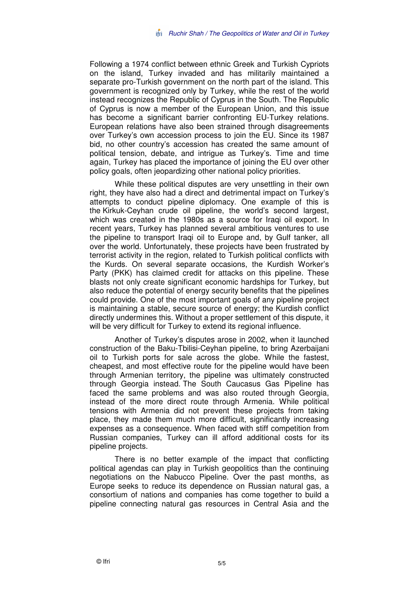Following a 1974 conflict between ethnic Greek and Turkish Cypriots on the island, Turkey invaded and has militarily maintained a separate pro-Turkish government on the north part of the island. This government is recognized only by Turkey, while the rest of the world instead recognizes the Republic of Cyprus in the South. The Republic of Cyprus is now a member of the European Union, and this issue has become a significant barrier confronting EU-Turkey relations. European relations have also been strained through disagreements over Turkey's own accession process to join the EU. Since its 1987 bid, no other country's accession has created the same amount of political tension, debate, and intrigue as Turkey's. Time and time again, Turkey has placed the importance of joining the EU over other policy goals, often jeopardizing other national policy priorities.

While these political disputes are very unsettling in their own right, they have also had a direct and detrimental impact on Turkey's attempts to conduct pipeline diplomacy. One example of this is the Kirkuk-Ceyhan crude oil pipeline, the world's second largest, which was created in the 1980s as a source for Iraqi oil export. In recent years, Turkey has planned several ambitious ventures to use the pipeline to transport Iraqi oil to Europe and, by Gulf tanker, all over the world. Unfortunately, these projects have been frustrated by terrorist activity in the region, related to Turkish political conflicts with the Kurds. On several separate occasions, the Kurdish Worker's Party (PKK) has claimed credit for attacks on this pipeline. These blasts not only create significant economic hardships for Turkey, but also reduce the potential of energy security benefits that the pipelines could provide. One of the most important goals of any pipeline project is maintaining a stable, secure source of energy; the Kurdish conflict directly undermines this. Without a proper settlement of this dispute, it will be very difficult for Turkey to extend its regional influence.

Another of Turkey's disputes arose in 2002, when it launched construction of the Baku-Tbilisi-Ceyhan pipeline, to bring Azerbaijani oil to Turkish ports for sale across the globe. While the fastest, cheapest, and most effective route for the pipeline would have been through Armenian territory, the pipeline was ultimately constructed through Georgia instead. The South Caucasus Gas Pipeline has faced the same problems and was also routed through Georgia, instead of the more direct route through Armenia. While political tensions with Armenia did not prevent these projects from taking place, they made them much more difficult, significantly increasing expenses as a consequence. When faced with stiff competition from Russian companies, Turkey can ill afford additional costs for its pipeline projects.

There is no better example of the impact that conflicting political agendas can play in Turkish geopolitics than the continuing negotiations on the Nabucco Pipeline. Over the past months, as Europe seeks to reduce its dependence on Russian natural gas, a consortium of nations and companies has come together to build a pipeline connecting natural gas resources in Central Asia and the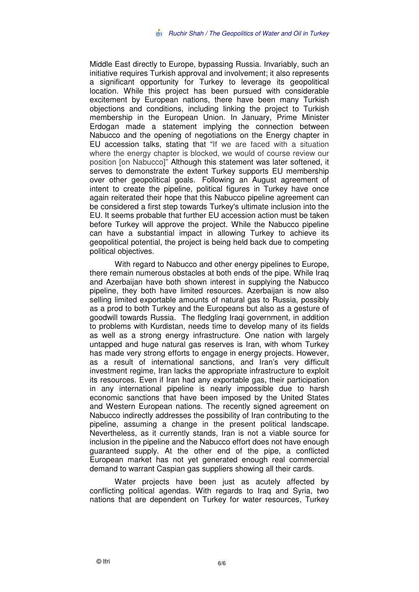Middle East directly to Europe, bypassing Russia. Invariably, such an initiative requires Turkish approval and involvement; it also represents a significant opportunity for Turkey to leverage its geopolitical location. While this project has been pursued with considerable excitement by European nations, there have been many Turkish objections and conditions, including linking the project to Turkish membership in the European Union. In January, Prime Minister Erdogan made a statement implying the connection between Nabucco and the opening of negotiations on the Energy chapter in EU accession talks, stating that "If we are faced with a situation where the energy chapter is blocked, we would of course review our position [on Nabucco]" Although this statement was later softened, it serves to demonstrate the extent Turkey supports EU membership over other geopolitical goals. Following an August agreement of intent to create the pipeline, political figures in Turkey have once again reiterated their hope that this Nabucco pipeline agreement can be considered a first step towards Turkey's ultimate inclusion into the EU. It seems probable that further EU accession action must be taken before Turkey will approve the project. While the Nabucco pipeline can have a substantial impact in allowing Turkey to achieve its geopolitical potential, the project is being held back due to competing political objectives.

With regard to Nabucco and other energy pipelines to Europe, there remain numerous obstacles at both ends of the pipe. While Iraq and Azerbaijan have both shown interest in supplying the Nabucco pipeline, they both have limited resources. Azerbaijan is now also selling limited exportable amounts of natural gas to Russia, possibly as a prod to both Turkey and the Europeans but also as a gesture of goodwill towards Russia. The fledgling Iraqi government, in addition to problems with Kurdistan, needs time to develop many of its fields as well as a strong energy infrastructure. One nation with largely untapped and huge natural gas reserves is Iran, with whom Turkey has made very strong efforts to engage in energy projects. However, as a result of international sanctions, and Iran's very difficult investment regime, Iran lacks the appropriate infrastructure to exploit its resources. Even if Iran had any exportable gas, their participation in any international pipeline is nearly impossible due to harsh economic sanctions that have been imposed by the United States and Western European nations. The recently signed agreement on Nabucco indirectly addresses the possibility of Iran contributing to the pipeline, assuming a change in the present political landscape. Nevertheless, as it currently stands, Iran is not a viable source for inclusion in the pipeline and the Nabucco effort does not have enough guaranteed supply. At the other end of the pipe, a conflicted European market has not yet generated enough real commercial demand to warrant Caspian gas suppliers showing all their cards.

Water projects have been just as acutely affected by conflicting political agendas. With regards to Iraq and Syria, two nations that are dependent on Turkey for water resources, Turkey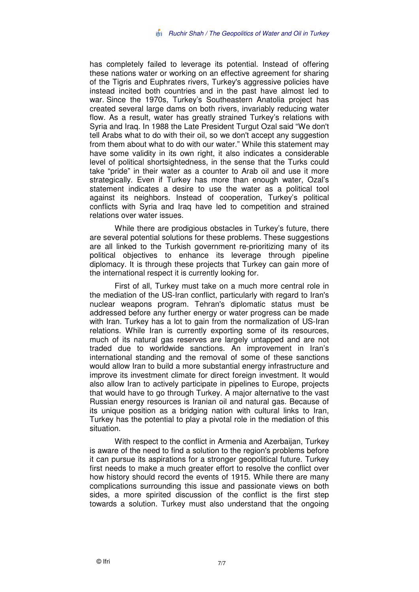has completely failed to leverage its potential. Instead of offering these nations water or working on an effective agreement for sharing of the Tigris and Euphrates rivers, Turkey's aggressive policies have instead incited both countries and in the past have almost led to war. Since the 1970s, Turkey's Southeastern Anatolia project has created several large dams on both rivers, invariably reducing water flow. As a result, water has greatly strained Turkey's relations with Syria and Iraq. In 1988 the Late President Turgut Ozal said "We don't tell Arabs what to do with their oil, so we don't accept any suggestion from them about what to do with our water." While this statement may have some validity in its own right, it also indicates a considerable level of political shortsightedness, in the sense that the Turks could take "pride" in their water as a counter to Arab oil and use it more strategically. Even if Turkey has more than enough water, Ozal's statement indicates a desire to use the water as a political tool against its neighbors. Instead of cooperation, Turkey's political conflicts with Syria and Iraq have led to competition and strained relations over water issues.

While there are prodigious obstacles in Turkey's future, there are several potential solutions for these problems. These suggestions are all linked to the Turkish government re-prioritizing many of its political objectives to enhance its leverage through pipeline diplomacy. It is through these projects that Turkey can gain more of the international respect it is currently looking for.

First of all, Turkey must take on a much more central role in the mediation of the US-Iran conflict, particularly with regard to Iran's nuclear weapons program. Tehran's diplomatic status must be addressed before any further energy or water progress can be made with Iran. Turkey has a lot to gain from the normalization of US-Iran relations. While Iran is currently exporting some of its resources, much of its natural gas reserves are largely untapped and are not traded due to worldwide sanctions. An improvement in Iran's international standing and the removal of some of these sanctions would allow Iran to build a more substantial energy infrastructure and improve its investment climate for direct foreign investment. It would also allow Iran to actively participate in pipelines to Europe, projects that would have to go through Turkey. A major alternative to the vast Russian energy resources is Iranian oil and natural gas. Because of its unique position as a bridging nation with cultural links to Iran, Turkey has the potential to play a pivotal role in the mediation of this situation.

With respect to the conflict in Armenia and Azerbaijan, Turkey is aware of the need to find a solution to the region's problems before it can pursue its aspirations for a stronger geopolitical future. Turkey first needs to make a much greater effort to resolve the conflict over how history should record the events of 1915. While there are many complications surrounding this issue and passionate views on both sides, a more spirited discussion of the conflict is the first step towards a solution. Turkey must also understand that the ongoing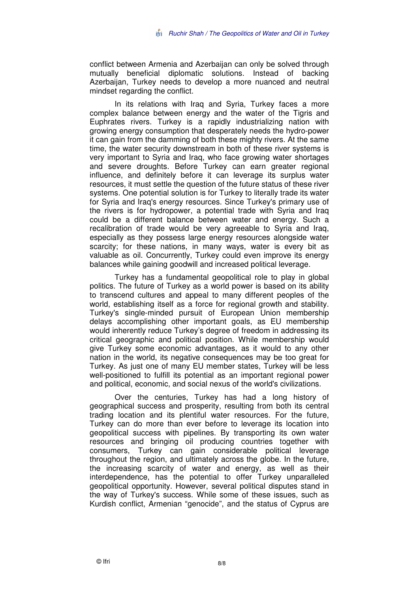conflict between Armenia and Azerbaijan can only be solved through mutually beneficial diplomatic solutions. Instead of backing Azerbaijan, Turkey needs to develop a more nuanced and neutral mindset regarding the conflict.

In its relations with Iraq and Syria, Turkey faces a more complex balance between energy and the water of the Tigris and Euphrates rivers. Turkey is a rapidly industrializing nation with growing energy consumption that desperately needs the hydro-power it can gain from the damming of both these mighty rivers. At the same time, the water security downstream in both of these river systems is very important to Syria and Iraq, who face growing water shortages and severe droughts. Before Turkey can earn greater regional influence, and definitely before it can leverage its surplus water resources, it must settle the question of the future status of these river systems. One potential solution is for Turkey to literally trade its water for Syria and Iraq's energy resources. Since Turkey's primary use of the rivers is for hydropower, a potential trade with Syria and Iraq could be a different balance between water and energy. Such a recalibration of trade would be very agreeable to Syria and Iraq, especially as they possess large energy resources alongside water scarcity; for these nations, in many ways, water is every bit as valuable as oil. Concurrently, Turkey could even improve its energy balances while gaining goodwill and increased political leverage.

Turkey has a fundamental geopolitical role to play in global politics. The future of Turkey as a world power is based on its ability to transcend cultures and appeal to many different peoples of the world, establishing itself as a force for regional growth and stability. Turkey's single-minded pursuit of European Union membership delays accomplishing other important goals, as EU membership would inherently reduce Turkey's degree of freedom in addressing its critical geographic and political position. While membership would give Turkey some economic advantages, as it would to any other nation in the world, its negative consequences may be too great for Turkey. As just one of many EU member states, Turkey will be less well-positioned to fulfill its potential as an important regional power and political, economic, and social nexus of the world's civilizations.

Over the centuries, Turkey has had a long history of geographical success and prosperity, resulting from both its central trading location and its plentiful water resources. For the future, Turkey can do more than ever before to leverage its location into geopolitical success with pipelines. By transporting its own water resources and bringing oil producing countries together with consumers, Turkey can gain considerable political leverage throughout the region, and ultimately across the globe. In the future, the increasing scarcity of water and energy, as well as their interdependence, has the potential to offer Turkey unparalleled geopolitical opportunity. However, several political disputes stand in the way of Turkey's success. While some of these issues, such as Kurdish conflict, Armenian "genocide", and the status of Cyprus are